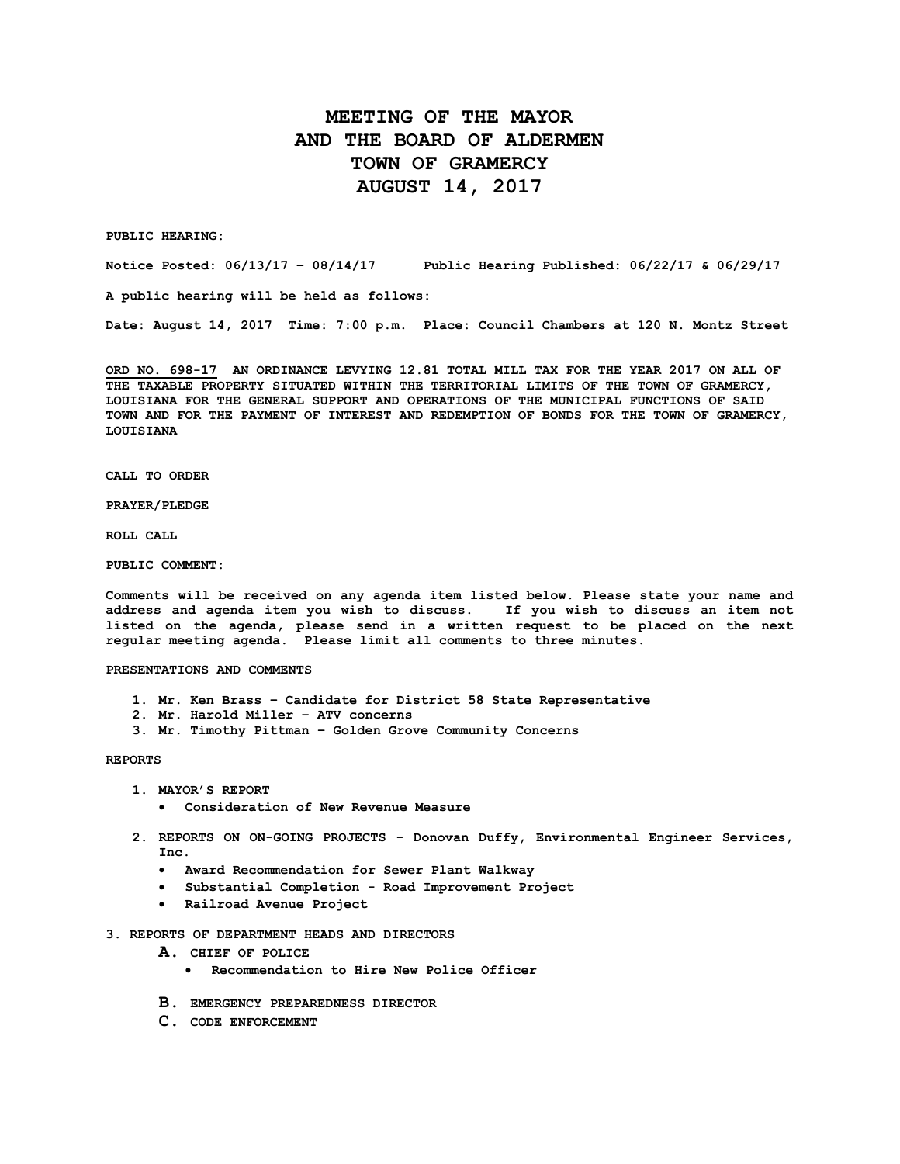## **MEETING OF THE MAYOR AND THE BOARD OF ALDERMEN TOWN OF GRAMERCY AUGUST 14, 2017**

**PUBLIC HEARING:**

**Notice Posted: 06/13/17 – 08/14/17 Public Hearing Published: 06/22/17 & 06/29/17**

**A public hearing will be held as follows:**

**Date: August 14, 2017 Time: 7:00 p.m. Place: Council Chambers at 120 N. Montz Street**

**ORD NO. 698-17 AN ORDINANCE LEVYING 12.81 TOTAL MILL TAX FOR THE YEAR 2017 ON ALL OF THE TAXABLE PROPERTY SITUATED WITHIN THE TERRITORIAL LIMITS OF THE TOWN OF GRAMERCY, LOUISIANA FOR THE GENERAL SUPPORT AND OPERATIONS OF THE MUNICIPAL FUNCTIONS OF SAID TOWN AND FOR THE PAYMENT OF INTEREST AND REDEMPTION OF BONDS FOR THE TOWN OF GRAMERCY, LOUISIANA**

**CALL TO ORDER**

**PRAYER/PLEDGE**

**ROLL CALL**

**PUBLIC COMMENT:**

**Comments will be received on any agenda item listed below. Please state your name and address and agenda item you wish to discuss. If you wish to discuss an item not listed on the agenda, please send in a written request to be placed on the next regular meeting agenda. Please limit all comments to three minutes.**

**PRESENTATIONS AND COMMENTS**

- **1. Mr. Ken Brass – Candidate for District 58 State Representative**
- **2. Mr. Harold Miller – ATV concerns**
- **3. Mr. Timothy Pittman – Golden Grove Community Concerns**

**REPORTS**

- **1. MAYOR'S REPORT**
	- **Consideration of New Revenue Measure**
- **2. REPORTS ON ON-GOING PROJECTS - Donovan Duffy, Environmental Engineer Services, Inc.**
	- **Award Recommendation for Sewer Plant Walkway**
	- **Substantial Completion - Road Improvement Project**
	- **Railroad Avenue Project**
- **3. REPORTS OF DEPARTMENT HEADS AND DIRECTORS**
	- **A. CHIEF OF POLICE**
		- **Recommendation to Hire New Police Officer**
	- **B. EMERGENCY PREPAREDNESS DIRECTOR**
	- **C. CODE ENFORCEMENT**